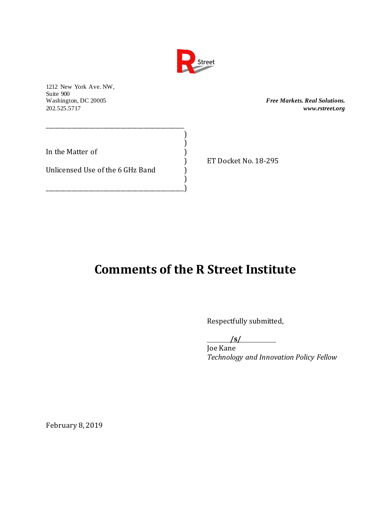

) )

)

1212 New York Ave. NW, Suite 900<br>Washington, DC 20005

 $Free$  Markets. Real Solutions. 202.525.5717 *www.rstreet.org*

In the Matter of  $\qquad \qquad$  )

Unlicensed Use of the 6 GHz Band  $)$ 

\_\_\_\_\_\_\_\_\_\_\_\_\_\_\_\_\_\_\_\_\_\_\_\_\_\_\_\_\_\_\_\_\_\_\_\_\_\_\_\_\_\_\_\_\_\_\_\_

\_\_\_\_\_\_\_\_\_\_\_\_\_\_\_\_\_\_\_\_\_\_\_\_\_\_\_\_\_\_\_\_\_\_\_\_\_\_\_\_\_\_\_\_\_\_\_\_)

) ET Docket No. 18-295

## **Comments of the R Street Institute**

Respectfully submitted,

**/s/**

Joe Kane *Technology and Innovation Policy Fellow*

February 8, 2019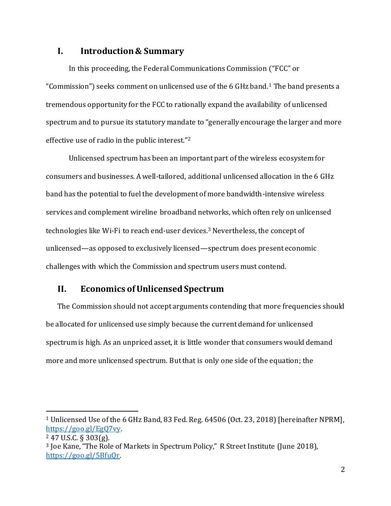## **I. Introduction & Summary**

In this proceeding, the Federal Communications Commission ("FCC" or "Commission") seeks comment on unlicensed use of the 6 GHz band.<sup>1</sup> The band presents a tremendous opportunity for the FCC to rationally expand the availability of unlicensed spectrum and to pursue its statutory mandate to "generally encourage the larger and more effective use of radio in the public interest."<sup>2</sup>

Unlicensed spectrum has been an important part of the wireless ecosystem for consumers and businesses. A well-tailored, additional unlicensed allocation in the 6 GHz band has the potential to fuel the development of more bandwidth-intensive wireless services and complement wireline broadband networks, which often rely on unlicensed technologies like Wi-Fi to reach end-user devices.<sup>3</sup> Nevertheless, the concept of unlicensed—as opposed to exclusively licensed—spectrum does present economic challenges with which the Commission and spectrum users must contend.

## **II. Economics of Unlicensed Spectrum**

The Commission should not accept arguments contending that more frequencies should be allocated for unlicensed use simply because the current demand for unlicensed spectrum is high. As an unpriced asset, it is little wonder that consumers would demand more and more unlicensed spectrum. But that is only one side of the equation; the

<sup>1</sup> Unlicensed Use of the 6 GHz Band, 83 Fed. Reg. 64506 (Oct. 23, 2018) [hereinafter NPRM], [https://goo.gl/EgQ7vy.](https://goo.gl/EgQ7vy)

<sup>2</sup> 47 U.S.C. § 303(g).

<sup>3</sup> Joe Kane, "The Role of Markets in Spectrum Policy," R Street Institute (June 2018), [https://goo.gl/5BfuQr.](https://goo.gl/5BfuQr)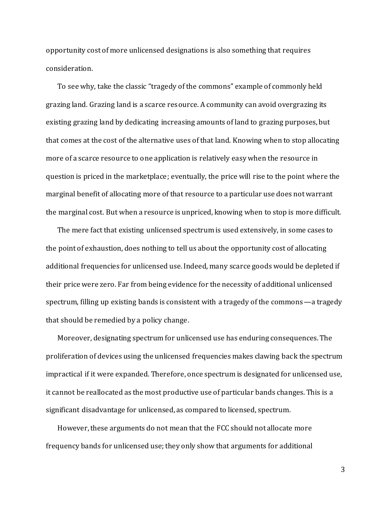opportunity cost of more unlicensed designations is also something that requires consideration.

To see why, take the classic "tragedy of the commons" example of commonly held grazing land. Grazing land is a scarce resource. A community can avoid overgrazing its existing grazing land by dedicating increasing amounts of land to grazing purposes, but that comes at the cost of the alternative uses of that land. Knowing when to stop allocating more of a scarce resource to one application is relatively easy when the resource in question is priced in the marketplace; eventually, the price will rise to the point where the marginal benefit of allocating more of that resource to a particular use does not warrant the marginal cost. But when a resource is unpriced, knowing when to stop is more difficult.

The mere fact that existing unlicensed spectrum is used extensively, in some cases to the point of exhaustion, does nothing to tell us about the opportunity cost of allocating additional frequencies for unlicensed use. Indeed, many scarce goods would be depleted if their price were zero. Far from being evidence for the necessity of additional unlicensed spectrum, filling up existing bands is consistent with a tragedy of the commons—a tragedy that should be remedied by a policy change.

Moreover, designating spectrum for unlicensed use has enduring consequences. The proliferation of devices using the unlicensed frequencies makes clawing back the spectrum impractical if it were expanded. Therefore, once spectrum is designated for unlicensed use, it cannot be reallocated as the most productive use of particular bands changes. This is a significant disadvantage for unlicensed, as compared to licensed, spectrum.

However, these arguments do not mean that the FCC should not allocate more frequency bands for unlicensed use; they only show that arguments for additional

3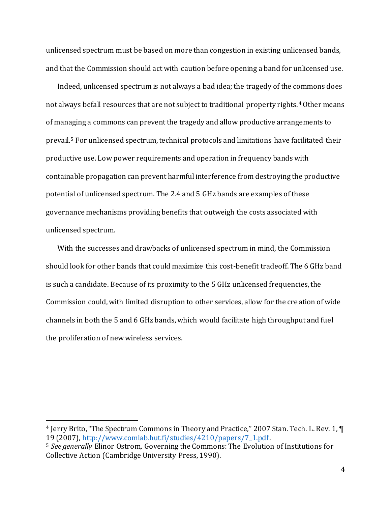unlicensed spectrum must be based on more than congestion in existing unlicensed bands, and that the Commission should act with caution before opening a band for unlicensed use.

Indeed, unlicensed spectrum is not always a bad idea; the tragedy of the commons does not always befall resources that are not subject to traditional property rights.<sup>4</sup> Other means of managing a commons can prevent the tragedy and allow productive arrangements to prevail.<sup>5</sup> For unlicensed spectrum, technical protocols and limitations have facilitated their productive use. Low power requirements and operation in frequency bands with containable propagation can prevent harmful interference from destroying the productive potential of unlicensed spectrum. The 2.4 and 5 GHz bands are examples of these governance mechanisms providing benefits that outweigh the costs associated with unlicensed spectrum.

With the successes and drawbacks of unlicensed spectrum in mind, the Commission should look for other bands that could maximize this cost-benefit tradeoff. The 6 GHz band is such a candidate. Because of its proximity to the 5 GHz unlicensed frequencies, the Commission could, with limited disruption to other services, allow for the creation of wide channels in both the 5 and 6 GHz bands, which would facilitate high throughput and fuel the proliferation of new wireless services.

<sup>4</sup> Jerry Brito, "The Spectrum Commons in Theory and Practice," 2007 Stan. Tech. L. Rev. 1, ¶ 19 (2007), [http://www.comlab.hut.fi/studies/4210/papers/7\\_1.pdf.](http://www.comlab.hut.fi/studies/4210/papers/7_1.pdf)

<sup>5</sup> *See generally* Elinor Ostrom, Governing the Commons: The Evolution of Institutions for Collective Action (Cambridge University Press, 1990).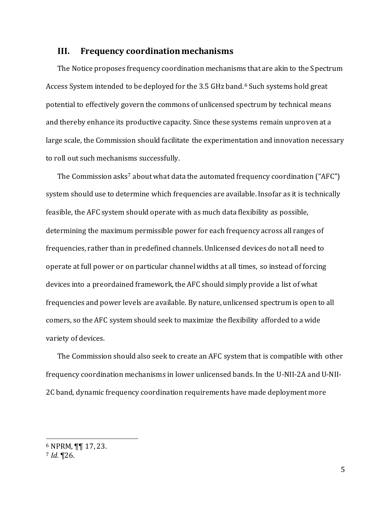## **III. Frequency coordination mechanisms**

The Notice proposes frequency coordination mechanisms that are akin to the Spectrum Access System intended to be deployed for the 3.5 GHz band.<sup>6</sup> Such systems hold great potential to effectively govern the commons of unlicensed spectrum by technical means and thereby enhance its productive capacity. Since these systems remain unproven at a large scale, the Commission should facilitate the experimentation and innovation necessary to roll out such mechanisms successfully.

The Commission asks<sup>7</sup> about what data the automated frequency coordination ("AFC") system should use to determine which frequencies are available. Insofar as it is technically feasible, the AFC system should operate with as much data flexibility as possible, determining the maximum permissible power for each frequency across all ranges of frequencies, rather than in predefined channels. Unlicensed devices do not all need to operate at full power or on particular channel widths at all times, so instead of forcing devices into a preordained framework, the AFC should simply provide a list of what frequencies and power levels are available. By nature, unlicensed spectrum is open to all comers, so the AFC system should seek to maximize the flexibility afforded to a wide variety of devices.

The Commission should also seek to create an AFC system that is compatible with other frequency coordination mechanisms in lower unlicensed bands. In the U-NII-2A and U-NII-2C band, dynamic frequency coordination requirements have made deployment more

<sup>6</sup> NPRM, ¶¶ 17, 23.

<sup>7</sup> *Id*. ¶26.